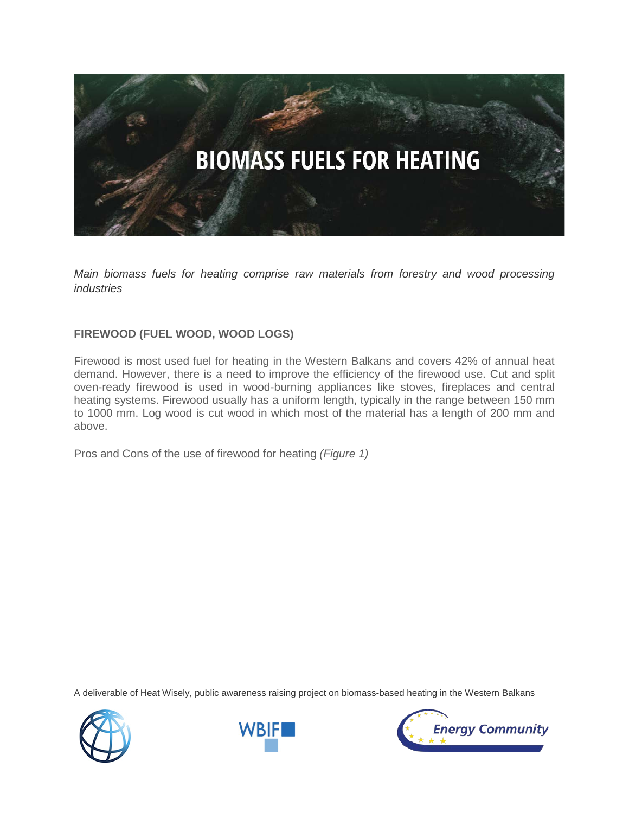

*Main biomass fuels for heating comprise raw materials from forestry and wood processing industries*

## **FIREWOOD (FUEL WOOD, WOOD LOGS)**

Firewood is most used fuel for heating in the Western Balkans and covers 42% of annual heat demand. However, there is a need to improve the efficiency of the firewood use. Cut and split oven-ready firewood is used in wood-burning appliances like stoves, fireplaces and central heating systems. Firewood usually has a uniform length, typically in the range between 150 mm to 1000 mm. Log wood is cut wood in which most of the material has a length of 200 mm and above.

Pros and Cons of the use of firewood for heating *(Figure 1)*





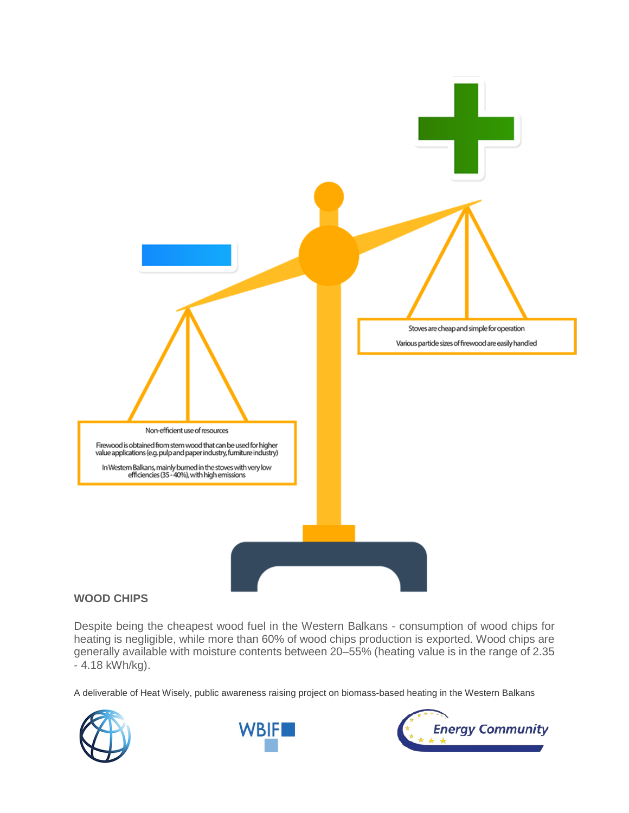

## **WOOD CHIPS**

Despite being the cheapest wood fuel in the Western Balkans - consumption of wood chips for heating is negligible, while more than 60% of wood chips production is exported. Wood chips are generally available with moisture contents between 20–55% (heating value is in the range of 2.35 - 4.18 kWh/kg).





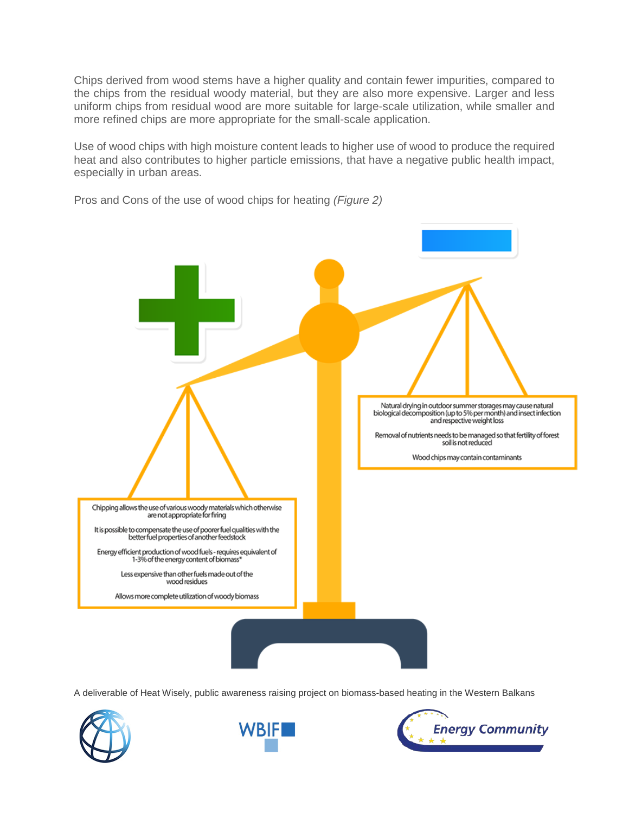Chips derived from wood stems have a higher quality and contain fewer impurities, compared to the chips from the residual woody material, but they are also more expensive. Larger and less uniform chips from residual wood are more suitable for large-scale utilization, while smaller and more refined chips are more appropriate for the small-scale application.

Use of wood chips with high moisture content leads to higher use of wood to produce the required heat and also contributes to higher particle emissions, that have a negative public health impact, especially in urban areas.

Natural drying in outdoor summer storages may cause natural<br>biological decomposition (up to 5% per month) and insect infection<br>and respective weight loss Removal of nutrients needs to be managed so that fertility of forest<br>soil is not reduced Wood chips may contain contaminants Chipping allows the use of various woody materials which otherwise<br>are not appropriate for firing It is possible to compensate the use of poorer fuel qualities with the<br>better fuel properties of another feedstock Energy efficient production of wood fuels - requires equivalent of 1-3% of the energy content of biomass\* Less expensive than other fuels made out of the wood residues Allows more complete utilization of woody biomass

Pros and Cons of the use of wood chips for heating *(Figure 2)*





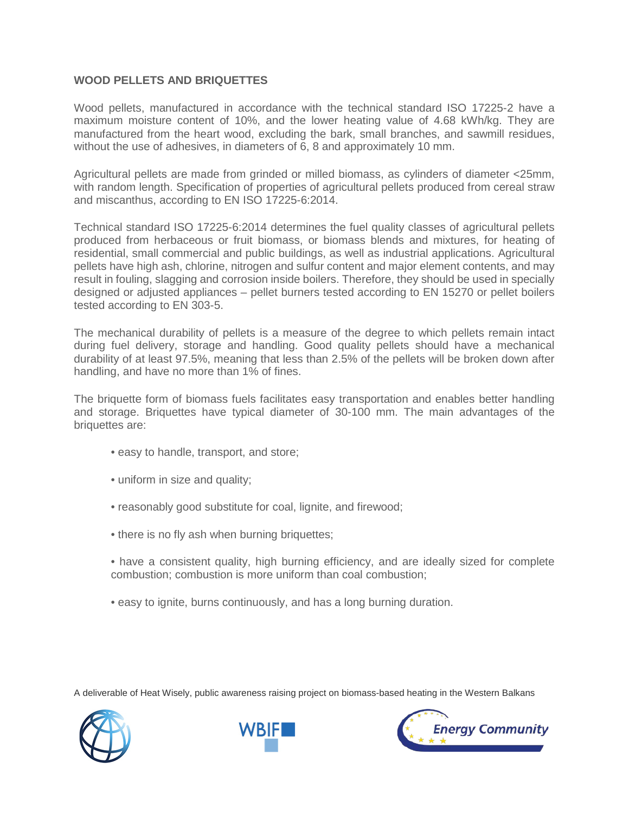## **WOOD PELLETS AND BRIQUETTES**

Wood pellets, manufactured in accordance with the technical standard ISO 17225-2 have a maximum moisture content of 10%, and the lower heating value of 4.68 kWh/kg. They are manufactured from the heart wood, excluding the bark, small branches, and sawmill residues, without the use of adhesives, in diameters of 6, 8 and approximately 10 mm.

Agricultural pellets are made from grinded or milled biomass, as cylinders of diameter <25mm, with random length. Specification of properties of agricultural pellets produced from cereal straw and miscanthus, according to EN ISO 17225-6:2014.

Technical standard ISO 17225-6:2014 determines the fuel quality classes of agricultural pellets produced from herbaceous or fruit biomass, or biomass blends and mixtures, for heating of residential, small commercial and public buildings, as well as industrial applications. Agricultural pellets have high ash, chlorine, nitrogen and sulfur content and major element contents, and may result in fouling, slagging and corrosion inside boilers. Therefore, they should be used in specially designed or adjusted appliances – pellet burners tested according to EN 15270 or pellet boilers tested according to EN 303-5.

The mechanical durability of pellets is a measure of the degree to which pellets remain intact during fuel delivery, storage and handling. Good quality pellets should have a mechanical durability of at least 97.5%, meaning that less than 2.5% of the pellets will be broken down after handling, and have no more than 1% of fines.

The briquette form of biomass fuels facilitates easy transportation and enables better handling and storage. Briquettes have typical diameter of 30-100 mm. The main advantages of the briquettes are:

- easy to handle, transport, and store;
- uniform in size and quality;
- reasonably good substitute for coal, lignite, and firewood;
- there is no fly ash when burning briquettes;
- have a consistent quality, high burning efficiency, and are ideally sized for complete combustion; combustion is more uniform than coal combustion;
- easy to ignite, burns continuously, and has a long burning duration.